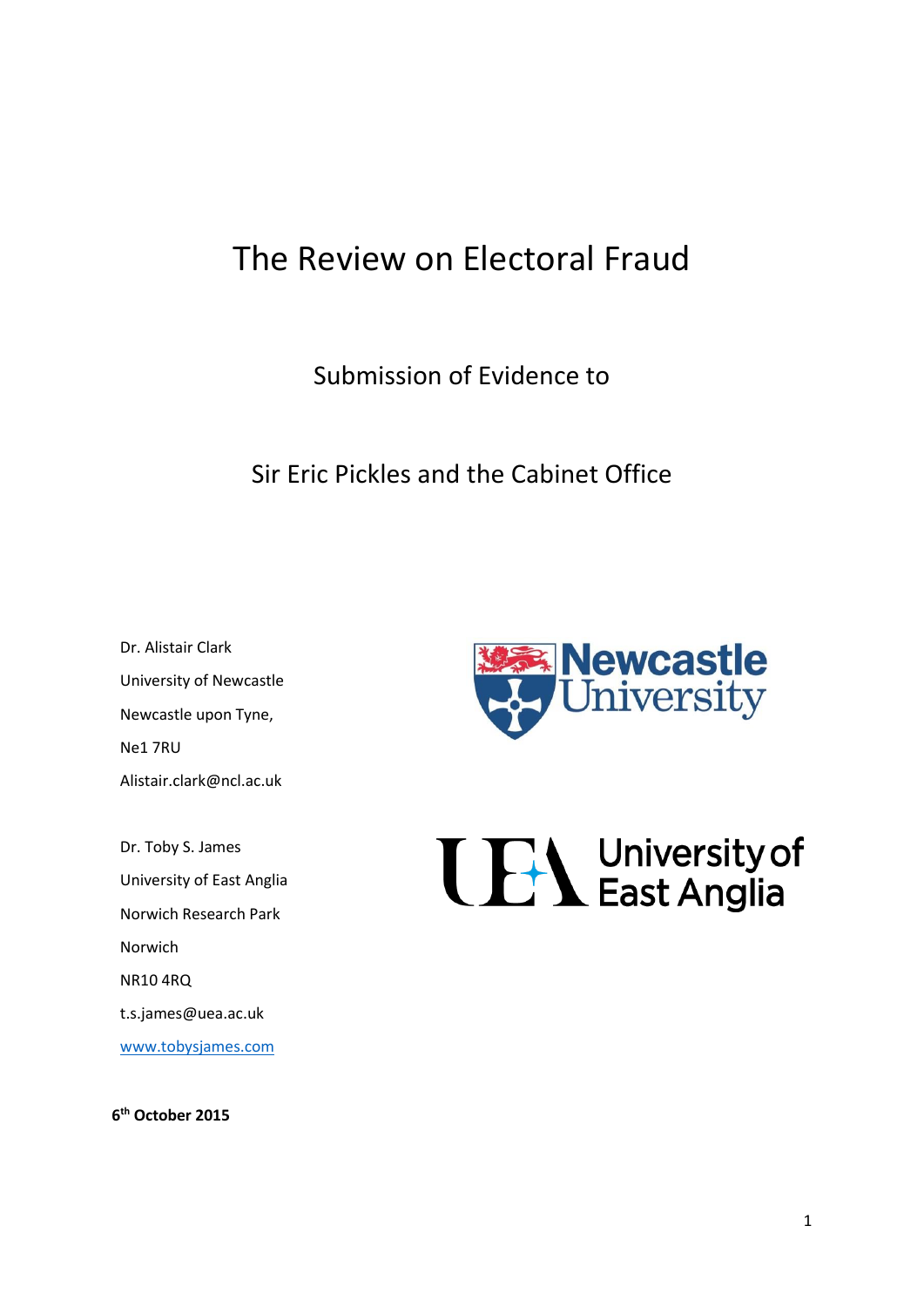# The Review on Electoral Fraud

Submission of Evidence to

Sir Eric Pickles and the Cabinet Office

Dr. Alistair Clark University of Newcastle Newcastle upon Tyne, Ne1 7RU Alistair.clark@ncl.ac.uk

Dr. Toby S. James University of East Anglia Norwich Research Park Norwich NR10 4RQ t.s.james@uea.ac.uk [www.tobysjames.com](http://www.tobysjames.com/)

**6 th October 2015**



**TEA** University of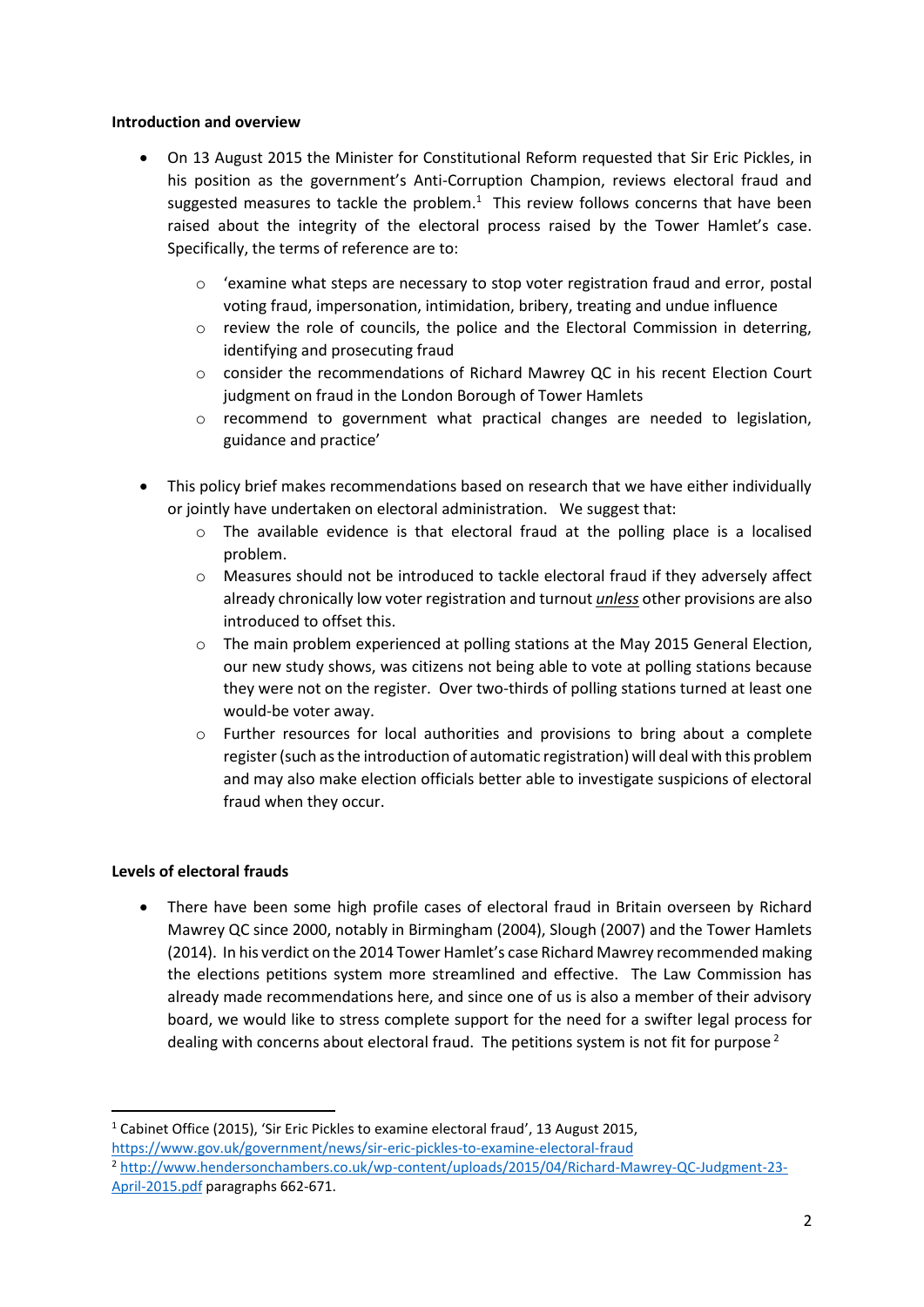#### **Introduction and overview**

- On 13 August 2015 the Minister for Constitutional Reform requested that Sir Eric Pickles, in his position as the government's Anti-Corruption Champion, reviews electoral fraud and suggested measures to tackle the problem. $<sup>1</sup>$  This review follows concerns that have been</sup> raised about the integrity of the electoral process raised by the Tower Hamlet's case. Specifically, the terms of reference are to:
	- $\circ$  'examine what steps are necessary to stop voter registration fraud and error, postal voting fraud, impersonation, intimidation, bribery, treating and undue influence
	- o review the role of councils, the police and the Electoral Commission in deterring, identifying and prosecuting fraud
	- o consider the recommendations of Richard Mawrey QC in his recent Election Court judgment on fraud in the London Borough of Tower Hamlets
	- o recommend to government what practical changes are needed to legislation, guidance and practice'
- This policy brief makes recommendations based on research that we have either individually or jointly have undertaken on electoral administration. We suggest that:
	- $\circ$  The available evidence is that electoral fraud at the polling place is a localised problem.
	- o Measures should not be introduced to tackle electoral fraud if they adversely affect already chronically low voter registration and turnout *unless* other provisions are also introduced to offset this.
	- $\circ$  The main problem experienced at polling stations at the May 2015 General Election, our new study shows, was citizens not being able to vote at polling stations because they were not on the register. Over two-thirds of polling stations turned at least one would-be voter away.
	- o Further resources for local authorities and provisions to bring about a complete register (such as the introduction of automatic registration) will deal with this problem and may also make election officials better able to investigate suspicions of electoral fraud when they occur.

#### **Levels of electoral frauds**

**.** 

 There have been some high profile cases of electoral fraud in Britain overseen by Richard Mawrey QC since 2000, notably in Birmingham (2004), Slough (2007) and the Tower Hamlets (2014). In his verdict on the 2014 Tower Hamlet's case Richard Mawrey recommended making the elections petitions system more streamlined and effective. The Law Commission has already made recommendations here, and since one of us is also a member of their advisory board, we would like to stress complete support for the need for a swifter legal process for dealing with concerns about electoral fraud. The petitions system is not fit for purpose<sup>2</sup>

<sup>1</sup> Cabinet Office (2015), 'Sir Eric Pickles to examine electoral fraud', 13 August 2015, <https://www.gov.uk/government/news/sir-eric-pickles-to-examine-electoral-fraud> <sup>2</sup> [http://www.hendersonchambers.co.uk/wp-content/uploads/2015/04/Richard-Mawrey-QC-Judgment-23-](http://www.hendersonchambers.co.uk/wp-content/uploads/2015/04/Richard-Mawrey-QC-Judgment-23-April-2015.pdf) [April-2015.pdf](http://www.hendersonchambers.co.uk/wp-content/uploads/2015/04/Richard-Mawrey-QC-Judgment-23-April-2015.pdf) paragraphs 662-671.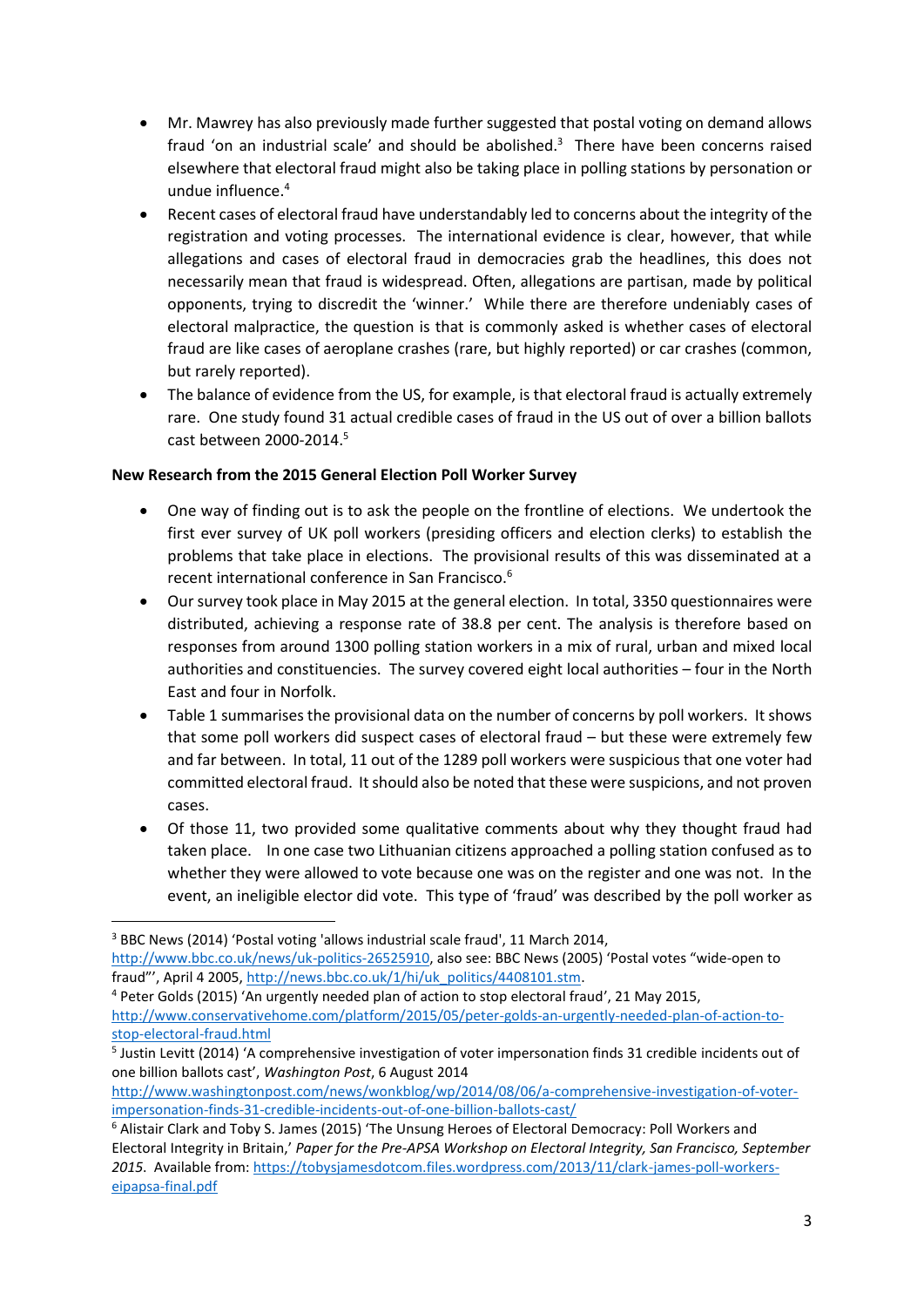- Mr. Mawrey has also previously made further suggested that postal voting on demand allows fraud 'on an industrial scale' and should be abolished. $3$  There have been concerns raised elsewhere that electoral fraud might also be taking place in polling stations by personation or undue influence.<sup>4</sup>
- Recent cases of electoral fraud have understandably led to concerns about the integrity of the registration and voting processes. The international evidence is clear, however, that while allegations and cases of electoral fraud in democracies grab the headlines, this does not necessarily mean that fraud is widespread. Often, allegations are partisan, made by political opponents, trying to discredit the 'winner.' While there are therefore undeniably cases of electoral malpractice, the question is that is commonly asked is whether cases of electoral fraud are like cases of aeroplane crashes (rare, but highly reported) or car crashes (common, but rarely reported).
- The balance of evidence from the US, for example, is that electoral fraud is actually extremely rare. One study found 31 actual credible cases of fraud in the US out of over a billion ballots cast between 2000-2014. 5

## **New Research from the 2015 General Election Poll Worker Survey**

- One way of finding out is to ask the people on the frontline of elections. We undertook the first ever survey of UK poll workers (presiding officers and election clerks) to establish the problems that take place in elections. The provisional results of this was disseminated at a recent international conference in San Francisco.<sup>6</sup>
- Our survey took place in May 2015 at the general election. In total, 3350 questionnaires were distributed, achieving a response rate of 38.8 per cent. The analysis is therefore based on responses from around 1300 polling station workers in a mix of rural, urban and mixed local authorities and constituencies. The survey covered eight local authorities – four in the North East and four in Norfolk.
- Table 1 summarises the provisional data on the number of concerns by poll workers. It shows that some poll workers did suspect cases of electoral fraud – but these were extremely few and far between. In total, 11 out of the 1289 poll workers were suspicious that one voter had committed electoral fraud. It should also be noted that these were suspicions, and not proven cases.
- Of those 11, two provided some qualitative comments about why they thought fraud had taken place. In one case two Lithuanian citizens approached a polling station confused as to whether they were allowed to vote because one was on the register and one was not. In the event, an ineligible elector did vote. This type of 'fraud' was described by the poll worker as

 $\overline{a}$ 

[http://www.washingtonpost.com/news/wonkblog/wp/2014/08/06/a-comprehensive-investigation-of-voter](http://www.washingtonpost.com/news/wonkblog/wp/2014/08/06/a-comprehensive-investigation-of-voter-impersonation-finds-31-credible-incidents-out-of-one-billion-ballots-cast/)[impersonation-finds-31-credible-incidents-out-of-one-billion-ballots-cast/](http://www.washingtonpost.com/news/wonkblog/wp/2014/08/06/a-comprehensive-investigation-of-voter-impersonation-finds-31-credible-incidents-out-of-one-billion-ballots-cast/)

<sup>&</sup>lt;sup>3</sup> BBC News (2014) 'Postal voting 'allows industrial scale fraud', 11 March 2014,

[http://www.bbc.co.uk/news/uk-politics-26525910,](http://www.bbc.co.uk/news/uk-politics-26525910) also see: BBC News (2005) 'Postal votes "wide-open to fraud"', April 4 2005, [http://news.bbc.co.uk/1/hi/uk\\_politics/4408101.stm.](http://news.bbc.co.uk/1/hi/uk_politics/4408101.stm)

<sup>4</sup> Peter Golds (2015) 'An urgently needed plan of action to stop electoral fraud', 21 May 2015, [http://www.conservativehome.com/platform/2015/05/peter-golds-an-urgently-needed-plan-of-action-to](http://www.conservativehome.com/platform/2015/05/peter-golds-an-urgently-needed-plan-of-action-to-stop-electoral-fraud.html)[stop-electoral-fraud.html](http://www.conservativehome.com/platform/2015/05/peter-golds-an-urgently-needed-plan-of-action-to-stop-electoral-fraud.html)

<sup>5</sup> Justin Levitt (2014) 'A comprehensive investigation of voter impersonation finds 31 credible incidents out of one billion ballots cast', *Washington Post*, 6 August 2014

<sup>6</sup> Alistair Clark and Toby S. James (2015) 'The Unsung Heroes of Electoral Democracy: Poll Workers and Electoral Integrity in Britain,' *Paper for the Pre-APSA Workshop on Electoral Integrity, San Francisco, September 2015*. Available from: [https://tobysjamesdotcom.files.wordpress.com/2013/11/clark-james-poll-workers](https://tobysjamesdotcom.files.wordpress.com/2013/11/clark-james-poll-workers-eipapsa-final.pdf)[eipapsa-final.pdf](https://tobysjamesdotcom.files.wordpress.com/2013/11/clark-james-poll-workers-eipapsa-final.pdf)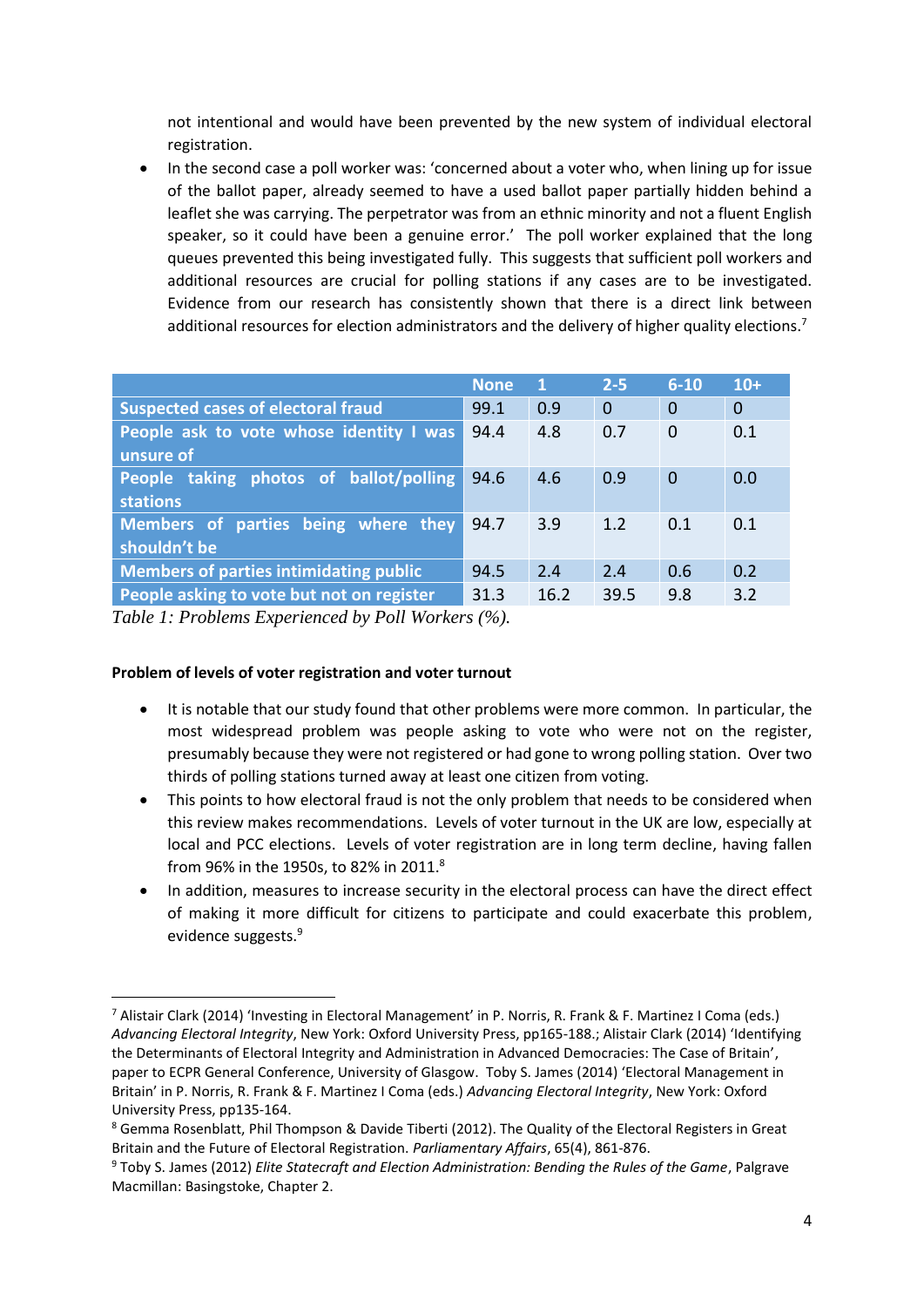not intentional and would have been prevented by the new system of individual electoral registration.

• In the second case a poll worker was: 'concerned about a voter who, when lining up for issue of the ballot paper, already seemed to have a used ballot paper partially hidden behind a leaflet she was carrying. The perpetrator was from an ethnic minority and not a fluent English speaker, so it could have been a genuine error.' The poll worker explained that the long queues prevented this being investigated fully. This suggests that sufficient poll workers and additional resources are crucial for polling stations if any cases are to be investigated. Evidence from our research has consistently shown that there is a direct link between additional resources for election administrators and the delivery of higher quality elections.<sup>7</sup>

|                                                           | <b>None</b> | 1    | $2 - 5$        | $6 - 10$       | $10+$          |
|-----------------------------------------------------------|-------------|------|----------------|----------------|----------------|
| <b>Suspected cases of electoral fraud</b>                 | 99.1        | 0.9  | $\overline{0}$ | $\overline{0}$ | $\overline{0}$ |
| People ask to vote whose identity I was<br>unsure of      | 94.4        | 4.8  | 0.7            | $\mathbf 0$    | 0.1            |
| People taking photos of ballot/polling<br><b>stations</b> | 94.6        | 4.6  | 0.9            | $\mathbf 0$    | 0.0            |
| Members of parties being where they<br>shouldn't be       | 94.7        | 3.9  | 1.2            | 0.1            | 0.1            |
| <b>Members of parties intimidating public</b>             | 94.5        | 2.4  | 2.4            | 0.6            | 0.2            |
| People asking to vote but not on register                 | 31.3        | 16.2 | 39.5           | 9.8            | 3.2            |

*Table 1: Problems Experienced by Poll Workers (%).*

## **Problem of levels of voter registration and voter turnout**

- It is notable that our study found that other problems were more common. In particular, the most widespread problem was people asking to vote who were not on the register, presumably because they were not registered or had gone to wrong polling station. Over two thirds of polling stations turned away at least one citizen from voting.
- This points to how electoral fraud is not the only problem that needs to be considered when this review makes recommendations. Levels of voter turnout in the UK are low, especially at local and PCC elections. Levels of voter registration are in long term decline, having fallen from 96% in the 1950s, to 82% in 2011.<sup>8</sup>
- In addition, measures to increase security in the electoral process can have the direct effect of making it more difficult for citizens to participate and could exacerbate this problem, evidence suggests.<sup>9</sup>

**<sup>.</sup>** <sup>7</sup> Alistair Clark (2014) 'Investing in Electoral Management' in P. Norris, R. Frank & F. Martinez I Coma (eds.) *Advancing Electoral Integrity*, New York: Oxford University Press, pp165-188.; Alistair Clark (2014) 'Identifying the Determinants of Electoral Integrity and Administration in Advanced Democracies: The Case of Britain', paper to ECPR General Conference, University of Glasgow. Toby S. James (2014) 'Electoral Management in Britain' in P. Norris, R. Frank & F. Martinez I Coma (eds.) *Advancing Electoral Integrity*, New York: Oxford University Press, pp135-164.

<sup>8</sup> Gemma Rosenblatt, Phil Thompson & Davide Tiberti (2012). The Quality of the Electoral Registers in Great Britain and the Future of Electoral Registration. *Parliamentary Affairs*, 65(4), 861-876.

<sup>9</sup> Toby S. James (2012) *Elite Statecraft and Election Administration: Bending the Rules of the Game*, Palgrave Macmillan: Basingstoke, Chapter 2.